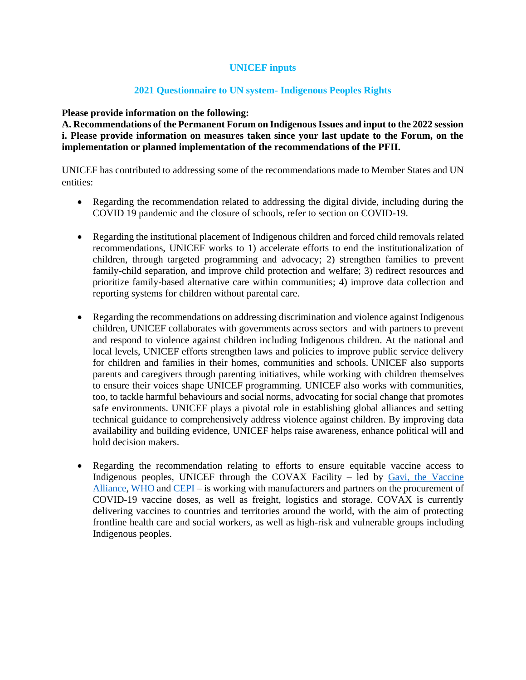## **UNICEF inputs**

## **2021 Questionnaire to UN system- Indigenous Peoples Rights**

#### **Please provide information on the following:**

**A. Recommendations of the Permanent Forum on Indigenous Issues and input to the 2022 session i. Please provide information on measures taken since your last update to the Forum, on the implementation or planned implementation of the recommendations of the PFII.** 

UNICEF has contributed to addressing some of the recommendations made to Member States and UN entities:

- Regarding the recommendation related to addressing the digital divide, including during the COVID 19 pandemic and the closure of schools, refer to section on COVID-19.
- Regarding the institutional placement of Indigenous children and forced child removals related recommendations, UNICEF works to 1) accelerate efforts to end the institutionalization of children, through targeted programming and advocacy; 2) strengthen families to prevent family-child separation, and improve child protection and welfare; 3) redirect resources and prioritize family-based alternative care within communities; 4) improve data collection and reporting systems for children without parental care.
- Regarding the recommendations on addressing discrimination and violence against Indigenous children, UNICEF collaborates with governments across sectors and with partners to prevent and respond to violence against children including Indigenous children. At the national and local levels, UNICEF efforts strengthen laws and policies to improve public service delivery for children and families in their homes, communities and schools. UNICEF also supports parents and caregivers through parenting initiatives, while working with children themselves to ensure their voices shape UNICEF programming. UNICEF also works with communities, too, to tackle harmful behaviours and social norms, advocating for social change that promotes safe environments. UNICEF plays a pivotal role in establishing global alliances and setting technical guidance to comprehensively address violence against children. By improving data availability and building evidence, UNICEF helps raise awareness, enhance political will and hold decision makers.
- Regarding the recommendation relating to efforts to ensure equitable vaccine access to Indigenous peoples, UNICEF through the COVAX Facility  $-$  led by  $Gavi$ , the Vaccine [Alliance,](https://www.gavi.org/) [WHO](https://www.who.int/) an[d CEPI](https://cepi.net/) – is working with manufacturers and partners on the procurement of COVID-19 vaccine doses, as well as freight, logistics and storage. COVAX is currently delivering vaccines to countries and territories around the world, with the aim of protecting frontline health care and social workers, as well as high-risk and vulnerable groups including Indigenous peoples.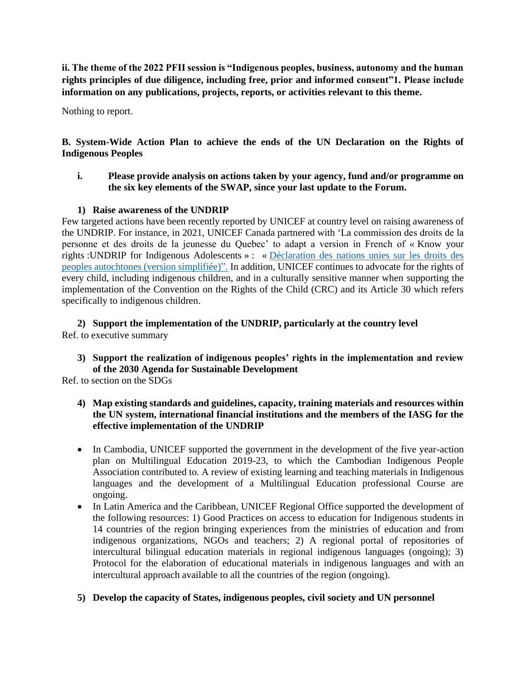**ii. The theme of the 2022 PFII session is "Indigenous peoples, business, autonomy and the human rights principles of due diligence, including free, prior and informed consent"1. Please include information on any publications, projects, reports, or activities relevant to this theme.** 

Nothing to report.

**B. System-Wide Action Plan to achieve the ends of the UN Declaration on the Rights of Indigenous Peoples** 

**i. Please provide analysis on actions taken by your agency, fund and/or programme on the six key elements of the SWAP, since your last update to the Forum.**

# **1) Raise awareness of the UNDRIP**

Few targeted actions have been recently reported by UNICEF at country level on raising awareness of the UNDRIP. For instance, in 2021, UNICEF Canada partnered with 'La commission des droits de la personne et des droits de la jeunesse du Quebec' to adapt a version in French of « Know your rights :UNDRIP for Indigenous Adolescents » : « [Déclaration des nations unies sur les droits des](https://www.cdpdj.qc.ca/fr/publications/declaration-nations-unies-droits-peuples-autochtones-version-simplifiee)  [peoples autochtones \(version simplifiée\)".](https://www.cdpdj.qc.ca/fr/publications/declaration-nations-unies-droits-peuples-autochtones-version-simplifiee) In addition, UNICEF continues to advocate for the rights of every child, including indigenous children, and in a culturally sensitive manner when supporting the implementation of the Convention on the Rights of the Child (CRC) and its Article 30 which refers specifically to indigenous children.

**2) Support the implementation of the UNDRIP, particularly at the country level** Ref. to executive summary

**3) Support the realization of indigenous peoples' rights in the implementation and review of the 2030 Agenda for Sustainable Development**

Ref. to section on the SDGs

- **4) Map existing standards and guidelines, capacity, training materials and resources within the UN system, international financial institutions and the members of the IASG for the effective implementation of the UNDRIP**
- In Cambodia, UNICEF supported the government in the development of the five year-action plan on Multilingual Education 2019-23, to which the Cambodian Indigenous People Association contributed to. A review of existing learning and teaching materials in Indigenous languages and the development of a Multilingual Education professional Course are ongoing.
- In Latin America and the Caribbean, UNICEF Regional Office supported the development of the following resources: 1) Good Practices on access to education for Indigenous students in 14 countries of the region bringing experiences from the ministries of education and from indigenous organizations, NGOs and teachers; 2) A regional portal of repositories of intercultural bilingual education materials in regional indigenous languages (ongoing); 3) Protocol for the elaboration of educational materials in indigenous languages and with an intercultural approach available to all the countries of the region (ongoing).

# **5) Develop the capacity of States, indigenous peoples, civil society and UN personnel**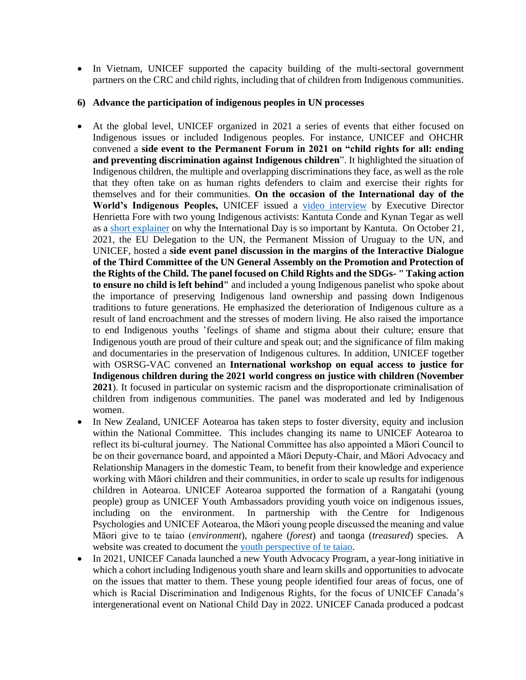• In Vietnam, UNICEF supported the capacity building of the multi-sectoral government partners on the CRC and child rights, including that of children from Indigenous communities.

#### **6) Advance the participation of indigenous peoples in UN processes**

- At the global level, UNICEF organized in 2021 a series of events that either focused on Indigenous issues or included Indigenous peoples. For instance, UNICEF and OHCHR convened a **side event to the Permanent Forum in 2021 on "child rights for all: ending and preventing discrimination against Indigenous children**". It highlighted the situation of Indigenous children, the multiple and overlapping discriminations they face, as well as the role that they often take on as human rights defenders to claim and exercise their rights for themselves and for their communities. **On the occasion of the International day of the World's Indigenous Peoples,** UNICEF issued a [video interview](https://twitter.com/unicefchief/status/1424785967211323393?s=20) by Executive Director Henrietta Fore with two young Indigenous activists: Kantuta Conde and Kynan Tegar as well as a [short explainer](https://twitter.com/UNICEF/status/1424792990975991812?s=20) on why the International Day is so important by Kantuta. On October 21, 2021, the EU Delegation to the UN, the Permanent Mission of Uruguay to the UN, and UNICEF, hosted a **side event panel discussion in the margins of the Interactive Dialogue of the Third Committee of the UN General Assembly on the Promotion and Protection of the Rights of the Child. The panel focused on Child Rights and the SDGs- " Taking action to ensure no child is left behind"** and included a young Indigenous panelist who spoke about the importance of preserving Indigenous land ownership and passing down Indigenous traditions to future generations. He emphasized the deterioration of Indigenous culture as a result of land encroachment and the stresses of modern living. He also raised the importance to end Indigenous youths 'feelings of shame and stigma about their culture; ensure that Indigenous youth are proud of their culture and speak out; and the significance of film making and documentaries in the preservation of Indigenous cultures. In addition, UNICEF together with OSRSG-VAC convened an **International workshop on equal access to justice for Indigenous children during the 2021 world congress on justice with children (November 2021**). It focused in particular on systemic racism and the disproportionate criminalisation of children from indigenous communities. The panel was moderated and led by Indigenous women.
- In New Zealand, UNICEF Aotearoa has taken steps to foster diversity, equity and inclusion within the National Committee. This includes changing its name to UNICEF Aotearoa to reflect its bi-cultural journey. The National Committee has also appointed a Māori Council to be on their governance board, and appointed a Māori Deputy-Chair, and Māori Advocacy and Relationship Managers in the domestic Team, to benefit from their knowledge and experience working with Māori children and their communities, in order to scale up results for indigenous children in Aotearoa. UNICEF Aotearoa supported the formation of a Rangatahi (young people) group as UNICEF Youth Ambassadors providing youth voice on indigenous issues, including on the environment. In partnership with the [Centre for Indigenous](https://sites.massey.ac.nz/indigenouspsychologies/#:~:text=The%20purpose%20of%20the%20Centre,that%20can%20benefit%20all%20communities.)  [Psychologies](https://sites.massey.ac.nz/indigenouspsychologies/#:~:text=The%20purpose%20of%20the%20Centre,that%20can%20benefit%20all%20communities.) and UNICEF Aotearoa, the Māori young people discussed the meaning and value Māori give to te taiao (*environment*), ngahere (*forest*) and taonga (*treasured*) species. A website was created to document the [youth perspective of te taiao.](https://storymaps.arcgis.com/stories/b3b4c6ef8aed46e38672de162e5b9387)
- In 2021, UNICEF Canada launched a new Youth Advocacy Program, a year-long initiative in which a cohort including Indigenous youth share and learn skills and opportunities to advocate on the issues that matter to them. These young people identified four areas of focus, one of which is Racial Discrimination and Indigenous Rights, for the focus of UNICEF Canada's intergenerational event on National Child Day in 2022. UNICEF Canada produced a podcast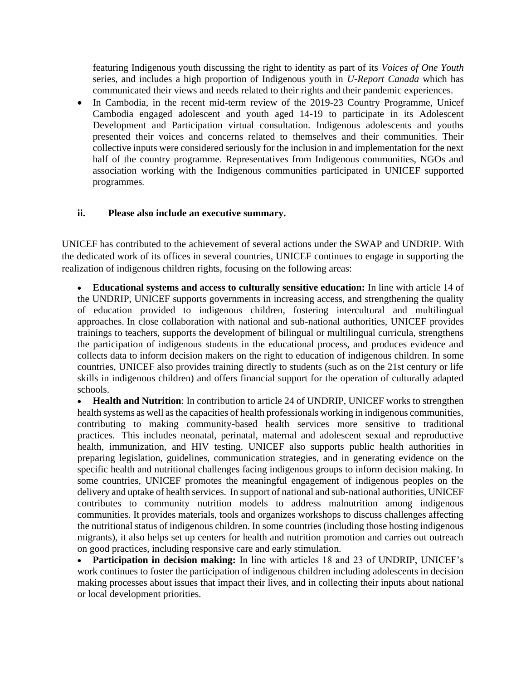featuring Indigenous youth discussing the right to identity as part of its *Voices of One Youth* series, and includes a high proportion of Indigenous youth in *U-Report Canada* which has communicated their views and needs related to their rights and their pandemic experiences.

• In Cambodia, in the recent mid-term review of the 2019-23 Country Programme, Unicef Cambodia engaged adolescent and youth aged 14-19 to participate in its Adolescent Development and Participation virtual consultation. Indigenous adolescents and youths presented their voices and concerns related to themselves and their communities. Their collective inputs were considered seriously for the inclusion in and implementation for the next half of the country programme. Representatives from Indigenous communities, NGOs and association working with the Indigenous communities participated in UNICEF supported programmes*.* 

#### **ii. Please also include an executive summary.**

UNICEF has contributed to the achievement of several actions under the SWAP and UNDRIP. With the dedicated work of its offices in several countries, UNICEF continues to engage in supporting the realization of indigenous children rights, focusing on the following areas:

• **Educational systems and access to culturally sensitive education:** In line with article 14 of the UNDRIP, UNICEF supports governments in increasing access, and strengthening the quality of education provided to indigenous children, fostering intercultural and multilingual approaches. In close collaboration with national and sub-national authorities, UNICEF provides trainings to teachers, supports the development of bilingual or multilingual curricula, strengthens the participation of indigenous students in the educational process, and produces evidence and collects data to inform decision makers on the right to education of indigenous children. In some countries, UNICEF also provides training directly to students (such as on the 21st century or life skills in indigenous children) and offers financial support for the operation of culturally adapted schools.

• **Health and Nutrition**: In contribution to article 24 of UNDRIP, UNICEF works to strengthen health systems as well as the capacities of health professionals working in indigenous communities, contributing to making community-based health services more sensitive to traditional practices. This includes neonatal, perinatal, maternal and adolescent sexual and reproductive health, immunization, and HIV testing. UNICEF also supports public health authorities in preparing legislation, guidelines, communication strategies, and in generating evidence on the specific health and nutritional challenges facing indigenous groups to inform decision making. In some countries, UNICEF promotes the meaningful engagement of indigenous peoples on the delivery and uptake of health services. In support of national and sub-national authorities, UNICEF contributes to community nutrition models to address malnutrition among indigenous communities. It provides materials, tools and organizes workshops to discuss challenges affecting the nutritional status of indigenous children. In some countries (including those hosting indigenous migrants), it also helps set up centers for health and nutrition promotion and carries out outreach on good practices, including responsive care and early stimulation.

• **Participation in decision making:** In line with articles 18 and 23 of UNDRIP, UNICEF's work continues to foster the participation of indigenous children including adolescents in decision making processes about issues that impact their lives, and in collecting their inputs about national or local development priorities.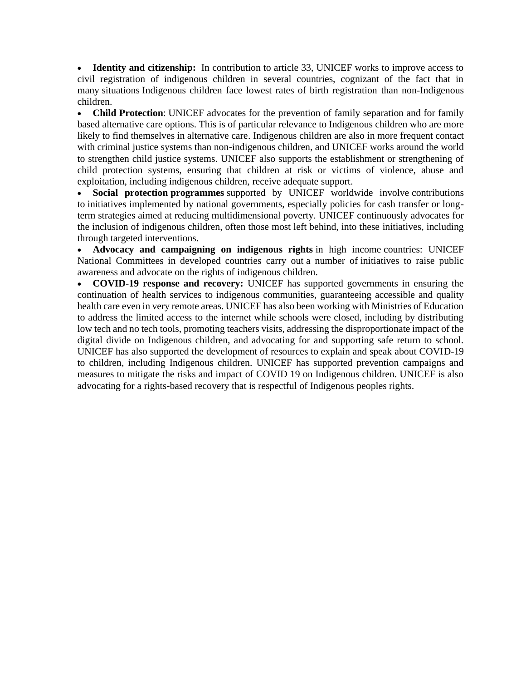• **Identity and citizenship:** In contribution to article 33, UNICEF works to improve access to civil registration of indigenous children in several countries, cognizant of the fact that in many situations Indigenous children face lowest rates of birth registration than non-Indigenous children.

• **Child Protection**: UNICEF advocates for the prevention of family separation and for family based alternative care options. This is of particular relevance to Indigenous children who are more likely to find themselves in alternative care. Indigenous children are also in more frequent contact with criminal justice systems than non-indigenous children, and UNICEF works around the world to strengthen child justice systems. UNICEF also supports the establishment or strengthening of child protection systems, ensuring that children at risk or victims of violence, abuse and exploitation, including indigenous children, receive adequate support.

• **Social protection programmes** supported by UNICEF worldwide involve contributions to initiatives implemented by national governments, especially policies for cash transfer or longterm strategies aimed at reducing multidimensional poverty. UNICEF continuously advocates for the inclusion of indigenous children, often those most left behind, into these initiatives, including through targeted interventions.

• **Advocacy and campaigning on indigenous rights** in high income countries: UNICEF National Committees in developed countries carry out a number of initiatives to raise public awareness and advocate on the rights of indigenous children.

• **COVID-19 response and recovery:** UNICEF has supported governments in ensuring the continuation of health services to indigenous communities, guaranteeing accessible and quality health care even in very remote areas. UNICEF has also been working with Ministries of Education to address the limited access to the internet while schools were closed, including by distributing low tech and no tech tools, promoting teachers visits, addressing the disproportionate impact of the digital divide on Indigenous children, and advocating for and supporting safe return to school. UNICEF has also supported the development of resources to explain and speak about COVID-19 to children, including Indigenous children. UNICEF has supported prevention campaigns and measures to mitigate the risks and impact of COVID 19 on Indigenous children. UNICEF is also advocating for a rights-based recovery that is respectful of Indigenous peoples rights.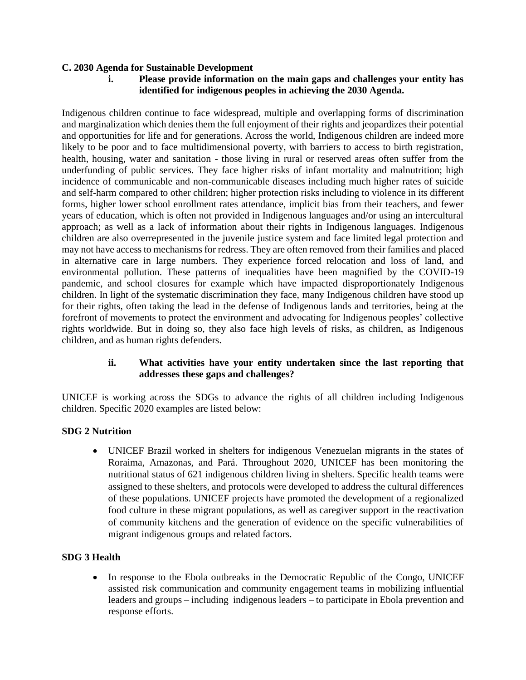## **C. 2030 Agenda for Sustainable Development**

**i. Please provide information on the main gaps and challenges your entity has identified for indigenous peoples in achieving the 2030 Agenda.**

Indigenous children continue to face widespread, multiple and overlapping forms of discrimination and marginalization which denies them the full enjoyment of their rights and jeopardizes their potential and opportunities for life and for generations. Across the world, Indigenous children are indeed more likely to be poor and to face multidimensional poverty, with barriers to access to birth registration, health, housing, water and sanitation - those living in rural or reserved areas often suffer from the underfunding of public services. They face higher risks of infant mortality and malnutrition; high incidence of communicable and non-communicable diseases including much higher rates of suicide and self-harm compared to other children; higher protection risks including to violence in its different forms, higher lower school enrollment rates attendance, implicit bias from their teachers, and fewer years of education, which is often not provided in Indigenous languages and/or using an intercultural approach; as well as a lack of information about their rights in Indigenous languages. Indigenous children are also overrepresented in the juvenile justice system and face limited legal protection and may not have access to mechanisms for redress. They are often removed from their families and placed in alternative care in large numbers. They experience forced relocation and loss of land, and environmental pollution. These patterns of inequalities have been magnified by the COVID-19 pandemic, and school closures for example which have impacted disproportionately Indigenous children. In light of the systematic discrimination they face, many Indigenous children have stood up for their rights, often taking the lead in the defense of Indigenous lands and territories, being at the forefront of movements to protect the environment and advocating for Indigenous peoples' collective rights worldwide. But in doing so, they also face high levels of risks, as children, as Indigenous children, and as human rights defenders.

### **ii. What activities have your entity undertaken since the last reporting that addresses these gaps and challenges?**

UNICEF is working across the SDGs to advance the rights of all children including Indigenous children. Specific 2020 examples are listed below:

### **SDG 2 Nutrition**

• UNICEF Brazil worked in shelters for indigenous Venezuelan migrants in the states of Roraima, Amazonas, and Pará. Throughout 2020, UNICEF has been monitoring the nutritional status of 621 indigenous children living in shelters. Specific health teams were assigned to these shelters, and protocols were developed to address the cultural differences of these populations. UNICEF projects have promoted the development of a regionalized food culture in these migrant populations, as well as caregiver support in the reactivation of community kitchens and the generation of evidence on the specific vulnerabilities of migrant indigenous groups and related factors.

# **SDG 3 Health**

• In response to the Ebola outbreaks in the Democratic Republic of the Congo, UNICEF assisted risk communication and community engagement teams in mobilizing influential leaders and groups – including indigenous leaders – to participate in Ebola prevention and response efforts.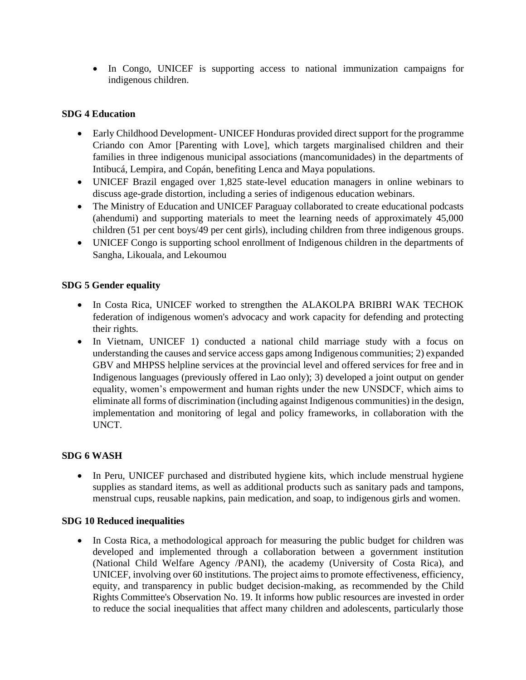• In Congo, UNICEF is supporting access to national immunization campaigns for indigenous children.

## **SDG 4 Education**

- Early Childhood Development-UNICEF Honduras provided direct support for the programme Criando con Amor [Parenting with Love], which targets marginalised children and their families in three indigenous municipal associations (mancomunidades) in the departments of Intibucá, Lempira, and Copán, benefiting Lenca and Maya populations.
- UNICEF Brazil engaged over 1,825 state-level education managers in online webinars to discuss age-grade distortion, including a series of indigenous education webinars.
- The Ministry of Education and UNICEF Paraguay collaborated to create educational podcasts (ahendumi) and supporting materials to meet the learning needs of approximately 45,000 children (51 per cent boys/49 per cent girls), including children from three indigenous groups.
- UNICEF Congo is supporting school enrollment of Indigenous children in the departments of Sangha, Likouala, and Lekoumou

### **SDG 5 Gender equality**

- In Costa Rica, UNICEF worked to strengthen the ALAKOLPA BRIBRI WAK TECHOK federation of indigenous women's advocacy and work capacity for defending and protecting their rights.
- In Vietnam, UNICEF 1) conducted a national child marriage study with a focus on understanding the causes and service access gaps among Indigenous communities; 2) expanded GBV and MHPSS helpline services at the provincial level and offered services for free and in Indigenous languages (previously offered in Lao only); 3) developed a joint output on gender equality, women's empowerment and human rights under the new UNSDCF, which aims to eliminate all forms of discrimination (including against Indigenous communities) in the design, implementation and monitoring of legal and policy frameworks, in collaboration with the UNCT.

# **SDG 6 WASH**

• In Peru, UNICEF purchased and distributed hygiene kits, which include menstrual hygiene supplies as standard items, as well as additional products such as sanitary pads and tampons, menstrual cups, reusable napkins, pain medication, and soap, to indigenous girls and women.

### **SDG 10 Reduced inequalities**

• In Costa Rica, a methodological approach for measuring the public budget for children was developed and implemented through a collaboration between a government institution (National Child Welfare Agency /PANI), the academy (University of Costa Rica), and UNICEF, involving over 60 institutions. The project aims to promote effectiveness, efficiency, equity, and transparency in public budget decision-making, as recommended by the Child Rights Committee's Observation No. 19. It informs how public resources are invested in order to reduce the social inequalities that affect many children and adolescents, particularly those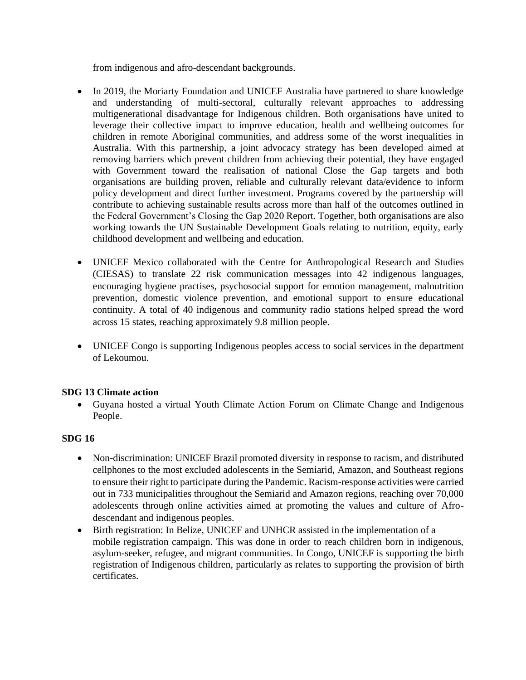from indigenous and afro-descendant backgrounds.

- In 2019, the Moriarty Foundation and UNICEF Australia have partnered to share knowledge and understanding of multi-sectoral, culturally relevant approaches to addressing multigenerational disadvantage for Indigenous children. Both organisations have united to leverage their collective impact to improve education, health and wellbeing outcomes for children in remote Aboriginal communities, and address some of the worst inequalities in Australia. With this partnership, a joint advocacy strategy has been developed aimed at removing barriers which prevent children from achieving their potential, they have engaged with Government toward the realisation of national Close the Gap targets and both organisations are building proven, reliable and culturally relevant data/evidence to inform policy development and direct further investment. Programs covered by the partnership will contribute to achieving sustainable results across more than half of the outcomes outlined in the Federal Government's Closing the Gap 2020 Report. Together, both organisations are also working towards the UN Sustainable Development Goals relating to nutrition, equity, early childhood development and wellbeing and education.
- UNICEF Mexico collaborated with the Centre for Anthropological Research and Studies (CIESAS) to translate 22 risk communication messages into 42 indigenous languages, encouraging hygiene practises, psychosocial support for emotion management, malnutrition prevention, domestic violence prevention, and emotional support to ensure educational continuity. A total of 40 indigenous and community radio stations helped spread the word across 15 states, reaching approximately 9.8 million people.
- UNICEF Congo is supporting Indigenous peoples access to social services in the department of Lekoumou.

### **SDG 13 Climate action**

• Guyana hosted a virtual Youth Climate Action Forum on Climate Change and Indigenous People.

### **SDG 16**

- Non-discrimination: UNICEF Brazil promoted diversity in response to racism, and distributed cellphones to the most excluded adolescents in the Semiarid, Amazon, and Southeast regions to ensure their right to participate during the Pandemic. Racism-response activities were carried out in 733 municipalities throughout the Semiarid and Amazon regions, reaching over 70,000 adolescents through online activities aimed at promoting the values and culture of Afrodescendant and indigenous peoples.
- Birth registration: In Belize, UNICEF and UNHCR assisted in the implementation of a mobile registration campaign. This was done in order to reach children born in indigenous, asylum-seeker, refugee, and migrant communities. In Congo, UNICEF is supporting the birth registration of Indigenous children, particularly as relates to supporting the provision of birth certificates.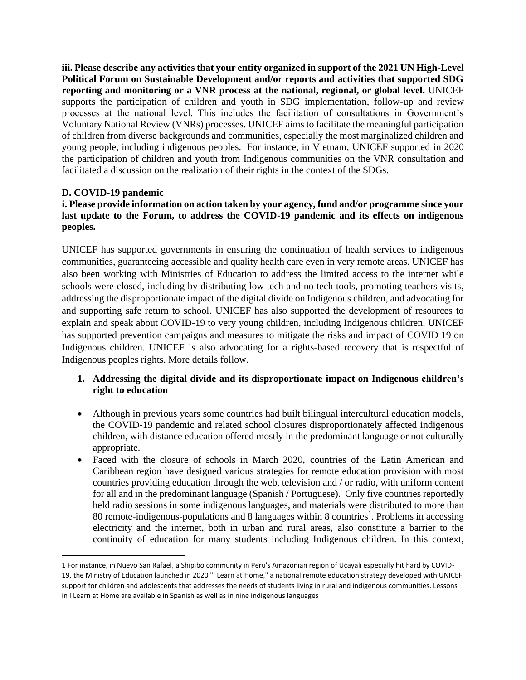**iii. Please describe any activities that your entity organized in support of the 2021 UN High-Level Political Forum on Sustainable Development and/or reports and activities that supported SDG reporting and monitoring or a VNR process at the national, regional, or global level.** UNICEF supports the participation of children and youth in SDG implementation, follow-up and review processes at the national level. This includes the facilitation of consultations in Government's Voluntary National Review (VNRs) processes. UNICEF aims to facilitate the meaningful participation of children from diverse backgrounds and communities, especially the most marginalized children and young people, including indigenous peoples. For instance, in Vietnam, UNICEF supported in 2020 the participation of children and youth from Indigenous communities on the VNR consultation and facilitated a discussion on the realization of their rights in the context of the SDGs.

## **D. COVID-19 pandemic**

## **i. Please provide information on action taken by your agency, fund and/or programme since your last update to the Forum, to address the COVID-19 pandemic and its effects on indigenous peoples.**

UNICEF has supported governments in ensuring the continuation of health services to indigenous communities, guaranteeing accessible and quality health care even in very remote areas. UNICEF has also been working with Ministries of Education to address the limited access to the internet while schools were closed, including by distributing low tech and no tech tools, promoting teachers visits, addressing the disproportionate impact of the digital divide on Indigenous children, and advocating for and supporting safe return to school. UNICEF has also supported the development of resources to explain and speak about COVID-19 to very young children, including Indigenous children. UNICEF has supported prevention campaigns and measures to mitigate the risks and impact of COVID 19 on Indigenous children. UNICEF is also advocating for a rights-based recovery that is respectful of Indigenous peoples rights. More details follow.

## **1. Addressing the digital divide and its disproportionate impact on Indigenous children's right to education**

- Although in previous years some countries had built bilingual intercultural education models, the COVID-19 pandemic and related school closures disproportionately affected indigenous children, with distance education offered mostly in the predominant language or not culturally appropriate.
- Faced with the closure of schools in March 2020, countries of the Latin American and Caribbean region have designed various strategies for remote education provision with most countries providing education through the web, television and / or radio, with uniform content for all and in the predominant language (Spanish / Portuguese). Only five countries reportedly held radio sessions in some indigenous languages, and materials were distributed to more than 80 remote-indigenous-populations and 8 languages within 8 countries<sup>1</sup>. Problems in accessing electricity and the internet, both in urban and rural areas, also constitute a barrier to the continuity of education for many students including Indigenous children. In this context,

<sup>1</sup> For instance, in Nuevo San Rafael, a Shipibo community in Peru's Amazonian region of Ucayali especially hit hard by COVID-19, the Ministry of Education launched in 2020 "I Learn at Home," a national remote education strategy developed with UNICEF support for children and adolescents that addresses the needs of students living in rural and indigenous communities. Lessons in I Learn at Home are available in Spanish as well as in nine indigenous languages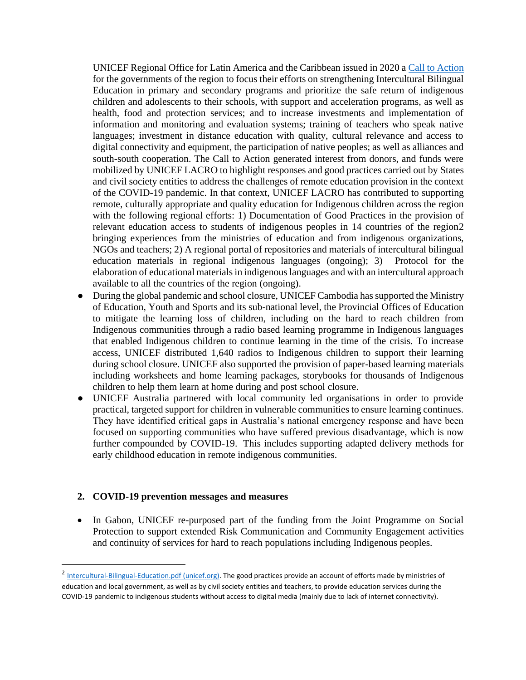UNICEF Regional Office for Latin America and the Caribbean issued in 2020 a [Call to Action](file:///C:/Users/mstambouli/Documents/•%09https:/www.unicef.org/lac/en/documents/unicef-call-to-action-indigenous-communities-and-right-education-in-times-of-covid19) for the governments of the region to focus their efforts on strengthening Intercultural Bilingual Education in primary and secondary programs and prioritize the safe return of indigenous children and adolescents to their schools, with support and acceleration programs, as well as health, food and protection services; and to increase investments and implementation of information and monitoring and evaluation systems; training of teachers who speak native languages; investment in distance education with quality, cultural relevance and access to digital connectivity and equipment, the participation of native peoples; as well as alliances and south-south cooperation. The Call to Action generated interest from donors, and funds were mobilized by UNICEF LACRO to highlight responses and good practices carried out by States and civil society entities to address the challenges of remote education provision in the context of the COVID-19 pandemic. In that context, UNICEF LACRO has contributed to supporting remote, culturally appropriate and quality education for Indigenous children across the region with the following regional efforts: 1) Documentation of Good Practices in the provision of relevant education access to students of indigenous peoples in 14 countries of the region2 bringing experiences from the ministries of education and from indigenous organizations, NGOs and teachers; 2) A regional portal of repositories and materials of intercultural bilingual education materials in regional indigenous languages (ongoing); 3) Protocol for the elaboration of educational materials in indigenous languages and with an intercultural approach available to all the countries of the region (ongoing).

- During the global pandemic and school closure, UNICEF Cambodia has supported the Ministry of Education, Youth and Sports and its sub-national level, the Provincial Offices of Education to mitigate the learning loss of children, including on the hard to reach children from Indigenous communities through a radio based learning programme in Indigenous languages that enabled Indigenous children to continue learning in the time of the crisis. To increase access, UNICEF distributed 1,640 radios to Indigenous children to support their learning during school closure. UNICEF also supported the provision of paper-based learning materials including worksheets and home learning packages, storybooks for thousands of Indigenous children to help them learn at home during and post school closure.
- UNICEF Australia partnered with local community led organisations in order to provide practical, targeted support for children in vulnerable communities to ensure learning continues. They have identified critical gaps in Australia's national emergency response and have been focused on supporting communities who have suffered previous disadvantage, which is now further compounded by COVID-19. This includes supporting adapted delivery methods for early childhood education in remote indigenous communities.

### **2. COVID-19 prevention messages and measures**

• In Gabon, UNICEF re-purposed part of the funding from the Joint Programme on Social Protection to support extended Risk Communication and Community Engagement activities and continuity of services for hard to reach populations including Indigenous peoples.

<sup>&</sup>lt;sup>2</sup> [Intercultural-Bilingual-Education.pdf \(unicef.org\).](https://www.unicef.org/lac/media/23246/file/Intercultural-Bilingual-Education.pdf) The good practices provide an account of efforts made by ministries of education and local government, as well as by civil society entities and teachers, to provide education services during the COVID-19 pandemic to indigenous students without access to digital media (mainly due to lack of internet connectivity).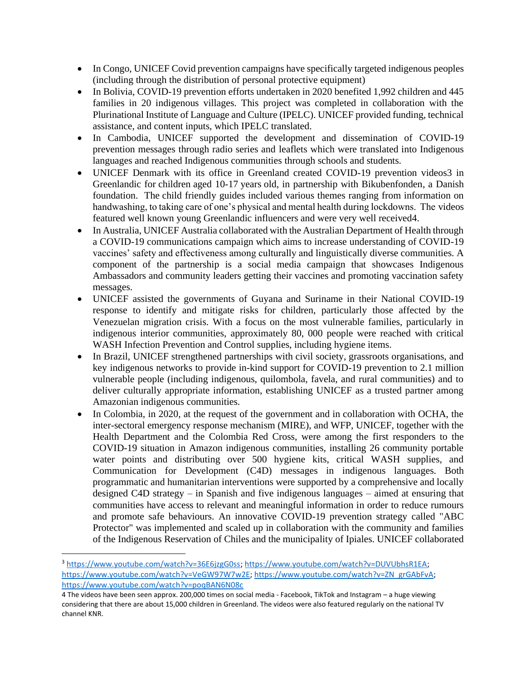- In Congo, UNICEF Covid prevention campaigns have specifically targeted indigenous peoples (including through the distribution of personal protective equipment)
- In Bolivia, COVID-19 prevention efforts undertaken in 2020 benefited 1,992 children and 445 families in 20 indigenous villages. This project was completed in collaboration with the Plurinational Institute of Language and Culture (IPELC). UNICEF provided funding, technical assistance, and content inputs, which IPELC translated.
- In Cambodia, UNICEF supported the development and dissemination of COVID-19 prevention messages through radio series and leaflets which were translated into Indigenous languages and reached Indigenous communities through schools and students.
- UNICEF Denmark with its office in Greenland created COVID-19 prevention videos3 in Greenlandic for children aged 10-17 years old, in partnership with Bikubenfonden, a Danish foundation. The child friendly guides included various themes ranging from information on handwashing, to taking care of one's physical and mental health during lockdowns. The videos featured well known young Greenlandic influencers and were very well received4.
- In Australia, UNICEF Australia collaborated with the Australian Department of Health through a COVID-19 communications campaign which aims to increase understanding of COVID-19 vaccines' safety and effectiveness among culturally and linguistically diverse communities. A component of the partnership is a social media campaign that showcases Indigenous Ambassadors and community leaders getting their vaccines and promoting vaccination safety messages.
- UNICEF assisted the governments of Guyana and Suriname in their National COVID-19 response to identify and mitigate risks for children, particularly those affected by the Venezuelan migration crisis. With a focus on the most vulnerable families, particularly in indigenous interior communities, approximately 80, 000 people were reached with critical WASH Infection Prevention and Control supplies, including hygiene items.
- In Brazil, UNICEF strengthened partnerships with civil society, grassroots organisations, and key indigenous networks to provide in-kind support for COVID-19 prevention to 2.1 million vulnerable people (including indigenous, quilombola, favela, and rural communities) and to deliver culturally appropriate information, establishing UNICEF as a trusted partner among Amazonian indigenous communities.
- In Colombia, in 2020, at the request of the government and in collaboration with OCHA, the inter-sectoral emergency response mechanism (MIRE), and WFP, UNICEF, together with the Health Department and the Colombia Red Cross, were among the first responders to the COVID-19 situation in Amazon indigenous communities, installing 26 community portable water points and distributing over 500 hygiene kits, critical WASH supplies, and Communication for Development (C4D) messages in indigenous languages. Both programmatic and humanitarian interventions were supported by a comprehensive and locally designed C4D strategy – in Spanish and five indigenous languages – aimed at ensuring that communities have access to relevant and meaningful information in order to reduce rumours and promote safe behaviours. An innovative COVID-19 prevention strategy called "ABC Protector" was implemented and scaled up in collaboration with the community and families of the Indigenous Reservation of Chiles and the municipality of Ipiales. UNICEF collaborated

<sup>3</sup> [https://www.youtube.com/watch?v=36E6jzgG0ss;](https://www.youtube.com/watch?v=36E6jzgG0ss) [https://www.youtube.com/watch?v=DUVUbhsR1EA;](https://www.youtube.com/watch?v=DUVUbhsR1EA) [https://www.youtube.com/watch?v=VeGW97W7w2E;](https://www.youtube.com/watch?v=VeGW97W7w2E) [https://www.youtube.com/watch?v=ZN\\_grGAbFvA;](https://www.youtube.com/watch?v=ZN_grGAbFvA) <https://www.youtube.com/watch?v=poqBAN6N08c>

<sup>4</sup> The videos have been seen approx. 200,000 times on social media - Facebook, TikTok and Instagram – a huge viewing considering that there are about 15,000 children in Greenland. The videos were also featured regularly on the national TV channel KNR.